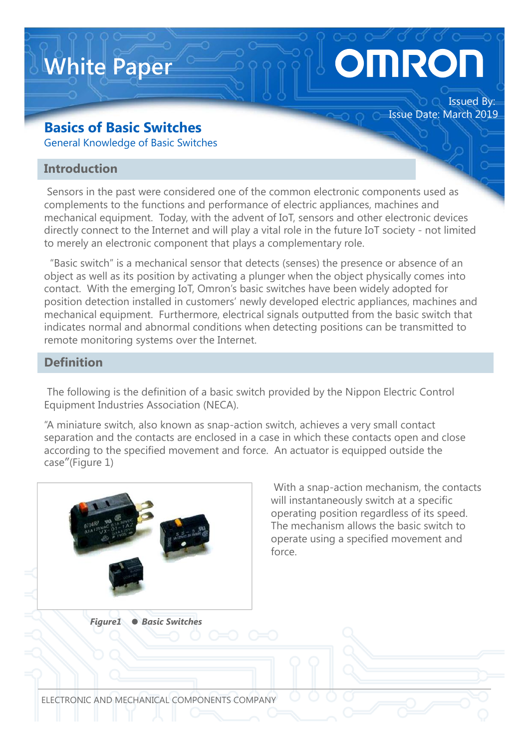# **OMROI**

Issued By:

Issue Date: March 2019

#### **Basics of Basic Switches**

**White Paper**

General Knowledge of Basic Switches

#### **Introduction**

Sensors in the past were considered one of the common electronic components used as complements to the functions and performance of electric appliances, machines and mechanical equipment. Today, with the advent of IoT, sensors and other electronic devices directly connect to the Internet and will play a vital role in the future IoT society - not limited to merely an electronic component that plays a complementary role.

"Basic switch" is a mechanical sensor that detects (senses) the presence or absence of an object as well as its position by activating a plunger when the object physically comes into contact. With the emerging IoT, Omron's basic switches have been widely adopted for position detection installed in customers' newly developed electric appliances, machines and mechanical equipment. Furthermore, electrical signals outputted from the basic switch that indicates normal and abnormal conditions when detecting positions can be transmitted to remote monitoring systems over the Internet.

#### **Definition**

The following is the definition of a basic switch provided by the Nippon Electric Control Equipment Industries Association (NECA).

"A miniature switch, also known as snap-action switch, achieves a very small contact separation and the contacts are enclosed in a case in which these contacts open and close according to the specified movement and force. An actuator is equipped outside the case"(Figure 1)



With a snap-action mechanism, the contacts will instantaneously switch at a specific operating position regardless of its speed. The mechanism allows the basic switch to operate using a specified movement and force.

*Figure1 ● Basic Switches*

ELECTRONIC AND MECHANICAL COMPONENTS COMPANY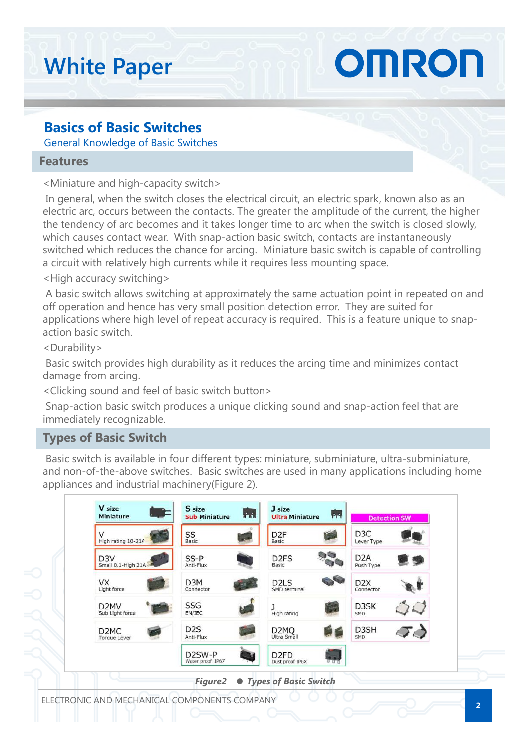## **White Paper**

#### **Basics of Basic Switches**

General Knowledge of Basic Switches

#### **Features**

<Miniature and high-capacity switch>

In general, when the switch closes the electrical circuit, an electric spark, known also as an electric arc, occurs between the contacts. The greater the amplitude of the current, the higher the tendency of arc becomes and it takes longer time to arc when the switch is closed slowly, which causes contact wear. With snap-action basic switch, contacts are instantaneously switched which reduces the chance for arcing. Miniature basic switch is capable of controlling a circuit with relatively high currents while it requires less mounting space.

OMRON

<High accuracy switching>

A basic switch allows switching at approximately the same actuation point in repeated on and off operation and hence has very small position detection error. They are suited for applications where high level of repeat accuracy is required. This is a feature unique to snapaction basic switch.

<Durability>

Basic switch provides high durability as it reduces the arcing time and minimizes contact damage from arcing.

<Clicking sound and feel of basic switch button>

Snap-action basic switch produces a unique clicking sound and snap-action feel that are immediately recognizable.

#### **Types of Basic Switch**

Basic switch is available in four different types: miniature, subminiature, ultra-subminiature, and non-of-the-above switches. Basic switches are used in many applications including home appliances and industrial machinery(Figure 2).

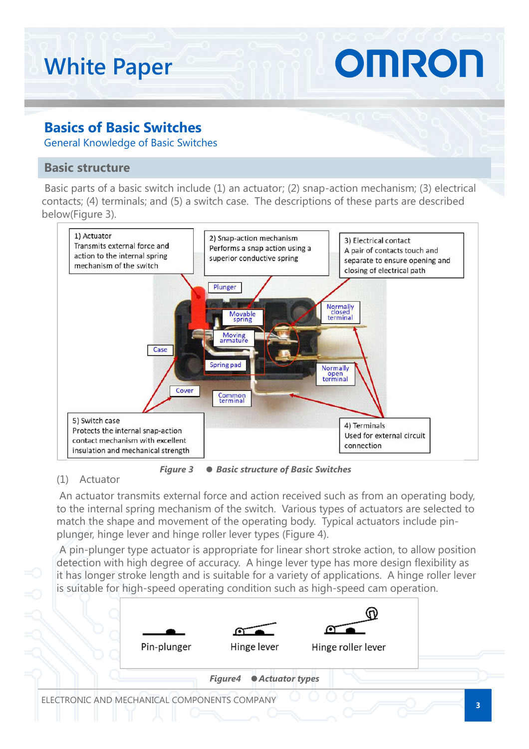#### OMRON **White Paper Basics of Basic Switches** General Knowledge of Basic Switches **Basic structure** Basic parts of a basic switch include (1) an actuator; (2) snap-action mechanism; (3) electrical contacts; (4) terminals; and (5) a switch case. The descriptions of these parts are described below(Figure 3). 1) Actuator 2) Snap-action mechanism 3) Electrical contact Transmits external force and Performs a snap action using a A pair of contacts touch and action to the internal spring superior conductive spring separate to ensure opening and mechanism of the switch



*Figure 3 ● Basic structure of Basic Switches*

#### (1) Actuator

An actuator transmits external force and action received such as from an operating body, to the internal spring mechanism of the switch. Various types of actuators are selected to match the shape and movement of the operating body. Typical actuators include pinplunger, hinge lever and hinge roller lever types (Figure 4).

A pin-plunger type actuator is appropriate for linear short stroke action, to allow position detection with high degree of accuracy. A hinge lever type has more design flexibility as it has longer stroke length and is suitable for a variety of applications. A hinge roller lever is suitable for high-speed operating condition such as high-speed cam operation.

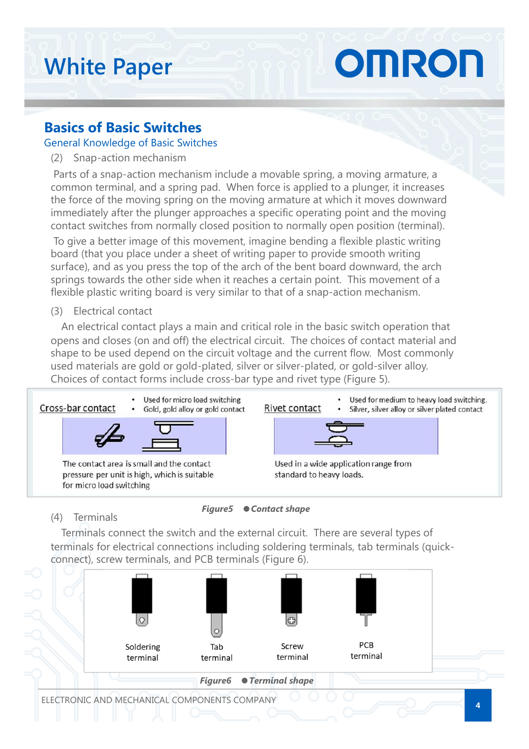### OMRON **White Paper**

#### **Basics of Basic Switches**

#### General Knowledge of Basic Switches

(2) Snap-action mechanism

Parts of a snap-action mechanism include a movable spring, a moving armature, a common terminal, and a spring pad. When force is applied to a plunger, it increases the force of the moving spring on the moving armature at which it moves downward immediately after the plunger approaches a specific operating point and the moving contact switches from normally closed position to normally open position (terminal).

To give a better image of this movement, imagine bending a flexible plastic writing board (that you place under a sheet of writing paper to provide smooth writing surface), and as you press the top of the arch of the bent board downward, the arch springs towards the other side when it reaches a certain point. This movement of a flexible plastic writing board is very similar to that of a snap-action mechanism.

(3) Electrical contact

An electrical contact plays a main and critical role in the basic switch operation that opens and closes (on and off) the electrical circuit. The choices of contact material and shape to be used depend on the circuit voltage and the current flow. Most commonly used materials are gold or gold-plated, silver or silver-plated, or gold-silver alloy. Choices of contact forms include cross-bar type and rivet type (Figure 5).



(4) Terminals



Terminals connect the switch and the external circuit. There are several types of terminals for electrical connections including soldering terminals, tab terminals (quickconnect), screw terminals, and PCB terminals (Figure 6).

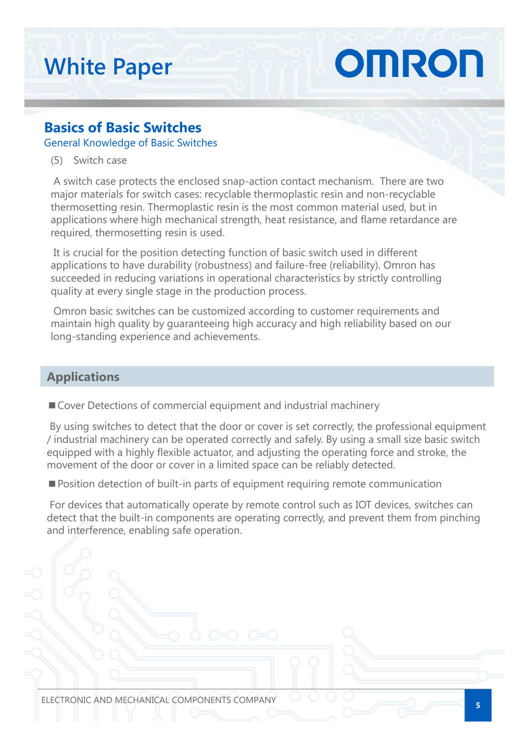## OMRON **White Paper**

#### **Basics of Basic Switches**

General Knowledge of Basic Switches

(5) Switch case

A switch case protects the enclosed snap-action contact mechanism. There are two major materials for switch cases: recyclable thermoplastic resin and non-recyclable thermosetting resin. Thermoplastic resin is the most common material used, but in applications where high mechanical strength, heat resistance, and flame retardance are required, thermosetting resin is used.

It is crucial for the position detecting function of basic switch used in different applications to have durability (robustness) and failure-free (reliability). Omron has succeeded in reducing variations in operational characteristics by strictly controlling quality at every single stage in the production process.

Omron basic switches can be customized according to customer requirements and maintain high quality by guaranteeing high accuracy and high reliability based on our long-standing experience and achievements.

#### **Applications**

■ Cover Detections of commercial equipment and industrial machinery

By using switches to detect that the door or cover is set correctly, the professional equipment / industrial machinery can be operated correctly and safely. By using a small size basic switch equipped with a highly flexible actuator, and adjusting the operating force and stroke, the movement of the door or cover in a limited space can be reliably detected.

■ Position detection of built-in parts of equipment requiring remote communication

For devices that automatically operate by remote control such as IOT devices, switches can detect that the built-in components are operating correctly, and prevent them from pinching and interference, enabling safe operation.